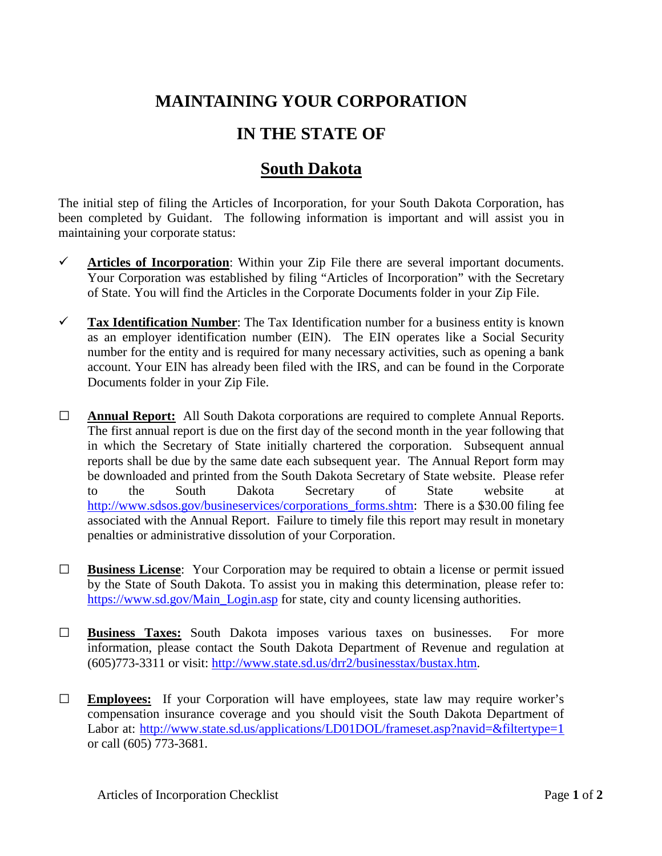## **MAINTAINING YOUR CORPORATION**

## **IN THE STATE OF**

## **South Dakota**

The initial step of filing the Articles of Incorporation, for your South Dakota Corporation, has been completed by Guidant. The following information is important and will assist you in maintaining your corporate status:

- $\checkmark$  Articles of Incorporation: Within your Zip File there are several important documents. Your Corporation was established by filing "Articles of Incorporation" with the Secretary of State. You will find the Articles in the Corporate Documents folder in your Zip File.
- **Tax Identification Number**: The Tax Identification number for a business entity is known as an employer identification number (EIN). The EIN operates like a Social Security number for the entity and is required for many necessary activities, such as opening a bank account. Your EIN has already been filed with the IRS, and can be found in the Corporate Documents folder in your Zip File.
- **□ Annual Report:** All South Dakota corporations are required to complete Annual Reports. The first annual report is due on the first day of the second month in the year following that in which the Secretary of State initially chartered the corporation. Subsequent annual reports shall be due by the same date each subsequent year. The Annual Report form may be downloaded and printed from the South Dakota Secretary of State website. Please refer to the South Dakota Secretary of State website at http://www.sdsos.gov/busineservices/corporations forms.shtm: There is a \$30.00 filing fee associated with the Annual Report. Failure to timely file this report may result in monetary penalties or administrative dissolution of your Corporation.
- **□ Business License**: Your Corporation may be required to obtain a license or permit issued by the State of South Dakota. To assist you in making this determination, please refer to: [https://www.sd.gov/Main\\_Login.asp](https://www.sd.gov/Main_Login.asp) for state, city and county licensing authorities.
- **□ Business Taxes:** South Dakota imposes various taxes on businesses. For more information, please contact the South Dakota Department of Revenue and regulation at (605)773-3311 or visit: [http://www.state.sd.us/drr2/businesstax/bustax.htm.](http://www.state.sd.us/drr2/businesstax/bustax.htm)
- **□ Employees:** If your Corporation will have employees, state law may require worker's compensation insurance coverage and you should visit the South Dakota Department of Labor at: http://www.state.sd.us/applications/LD01DOL/frameset.asp?navid=&filtertype=1 or call (605) 773-3681.